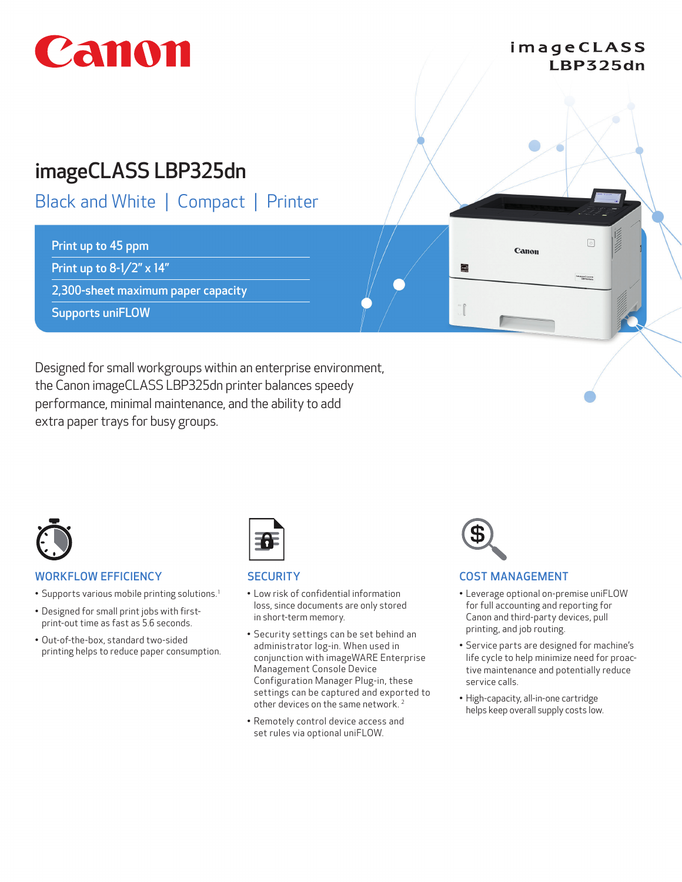# Canon

## imageCLASS LBP325dn

 $\sqrt{2}$ 

mageCLASS

Canon

 $\bigcirc$ 

## imageCLASS LBP325dn

## Black and White | Compact | Printer

## Print up to 45 ppm

Print up to 8-1/2" x 14"

2,300-sheet maximum paper capacity

Supports uniFLOW

Designed for small workgroups within an enterprise environment, the Canon imageCLASS LBP325dn printer balances speedy performance, minimal maintenance, and the ability to add extra paper trays for busy groups.



## WORKFLOW EFFICIENCY

- Supports various mobile printing solutions.<sup>1</sup>
- Designed for small print jobs with firstprint-out time as fast as 5.6 seconds.
- Out-of-the-box, standard two-sided printing helps to reduce paper consumption.



## **SECURITY**

- Low risk of confidential information loss, since documents are only stored in short-term memory.
- Security settings can be set behind an administrator log-in. When used in conjunction with imageWARE Enterprise Management Console Device Configuration Manager Plug-in, these settings can be captured and exported to other devices on the same network. 2
- Remotely control device access and set rules via optional uniFLOW.



## COST MANAGEMENT

- Leverage optional on-premise uniFLOW for full accounting and reporting for Canon and third-party devices, pull printing, and job routing.
- Service parts are designed for machine's life cycle to help minimize need for proactive maintenance and potentially reduce service calls.
- High-capacity, all-in-one cartridge helps keep overall supply costs low.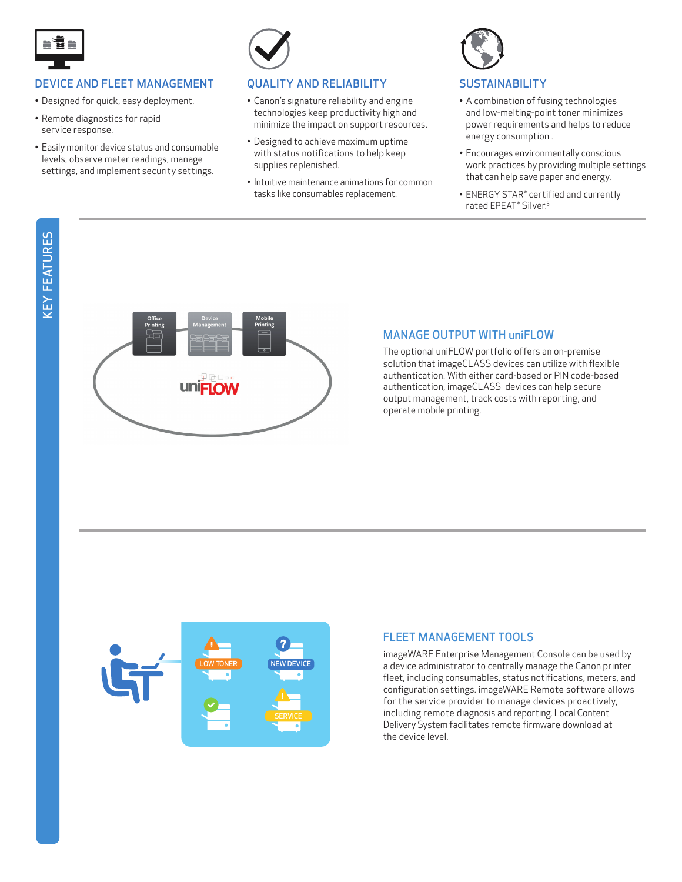

## DEVICE AND FLEET MANAGEMENT

- Designed for quick, easy deployment.
- Remote diagnostics for rapid service response.
- Easily monitor device status and consumable levels, observe meter readings, manage settings, and implement security settings.



#### QUALITY AND RELIABILITY

- Canon's signature reliability and engine technologies keep productivity high and minimize the impact on support resources.
- Designed to achieve maximum uptime with status notifications to help keep supplies replenished.
- Intuitive maintenance animations for common tasks like consumables replacement.



## **SUSTAINABILITY**

- A combination of fusing technologies and low-melting-point toner minimizes power requirements and helps to reduce energy consumption .
- Encourages environmentally conscious work practices by providing multiple settings that can help save paper and energy.
- ENERGY STAR® certified and currently rated EPEAT® Silver. 3



## MANAGE OUTPUT WITH uniFLOW

The optional uniFLOW portfolio offers an on-premise solution that imageCLASS devices can utilize with flexible authentication. With either card-based or PIN code-based authentication, imageCLASS devices can help secure output management, track costs with reporting, and operate mobile printing.



## FLEET MANAGEMENT TOOLS

imageWARE Enterprise Management Console can be used by a device administrator to centrally manage the Canon printer fleet, including consumables, status notifications, meters, and configuration settings. imageWARE Remote software allows for the service provider to manage devices proactively, including remote diagnosis and reporting. Local Content Delivery System facilitates remote firmware download at the device level.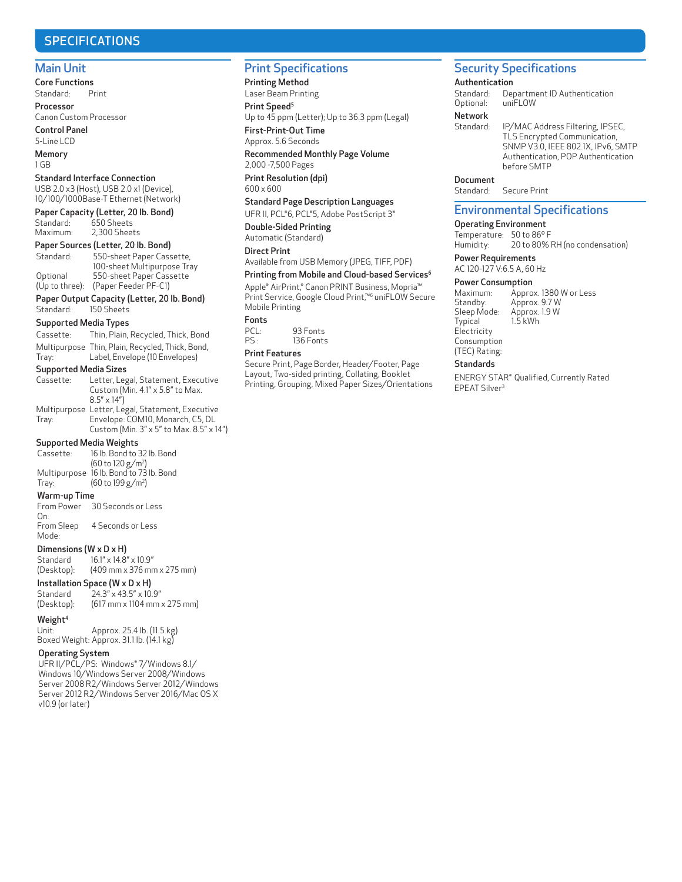## SPECIFICATIONS

#### Main Unit

Core Functions Standard: Print Processor

Canon Custom Processor Control Panel

5-Line LCD Memory

1 GB

#### Standard Interface Connection

USB 2.0 x3 (Host), USB 2.0 x1 (Device), 10/100/1000Base-T Ethernet (Network)

#### Paper Capacity (Letter, 20 lb. Bond)

| Standard: | 650 Sheets   |
|-----------|--------------|
| Maximum:  | 2,300 Sheets |

## Paper Sources (Letter, 20 lb. Bond)<br>Standard: 550-sheet Paper Cass

550-sheet Paper Cassette, 100-sheet Multipurpose Tray Optional 550-sheet Paper Cassette (Up to three): (Paper Feeder PF-C1)

Paper Output Capacity (Letter, 20 lb. Bond)<br>Standard: 150 Sheets 150 Sheets

#### Supported Media Types

| Cassette:                    | Thin, Plain, Recycled, Thick, Bond                                      |  |
|------------------------------|-------------------------------------------------------------------------|--|
|                              | Multipurpose Thin, Plain, Recycled, Thick, Bond,                        |  |
| Tray:                        | Label, Envelope (10 Envelopes)                                          |  |
| <b>Supported Media Sizes</b> |                                                                         |  |
| Cassette:                    | Letter, Legal, Statement, Executive<br>Custom (Min. 4.1" x 5.8" to Max. |  |

 8.5" x 14") Multipurpose Letter, Legal, Statement, Executive Tray: Envelope: COM10, Monarch, C5, DL Custom (Min. 3" x 5" to Max. 8.5" x 14")

## **Supported Media Weights**<br>Cassette: 16 lb. Bond to 3

16 lb. Bond to 32 lb. Bond (60 to 120 g/m<sup>2</sup> ) Multipurpose 16 lb. Bond to 73 lb. Bond Tray: (60 to 199 g/m<sup>2</sup> )

#### Warm-up Time

 From Power 30 Seconds or Less On:<br>From Sleep

4 Seconds or Less Mode:

## **Dimensions (W x D x H)**<br>Standard  $16.1" \times 14.8'$

Standard 16.1" x 14.8" x 10.9"<br>(Desktop): (409 mm x 376 mn (409 mm x 376 mm x 275 mm)

#### Installation Space (W x D x H)

Standard 24.3" x 43.5" x 10.9"<br>(Desktop): (617 mm x 1104 mm  $(617 \, \text{mm} \times 1104 \, \text{mm} \times 275 \, \text{mm})$ 

#### Weight<sup>4</sup>

 Unit: Approx. 25.4 lb. (11.5 kg) Boxed Weight: Approx. 31.1 lb. (14.1 kg)

#### Operating System

 UFR II/PCL/PS: Windows® 7/Windows 8.1/ Windows 10/Windows Server 2008/Windows Server 2008 R2/Windows Server 2012/Windows Server 2012 R2/Windows Server 2016/Mac OS X v10.9 (or later)

## Print Specifications

 Printing Method Laser Beam Printing Print Speed<sup>5</sup> Up to 45 ppm (Letter); Up to 36.3 ppm (Legal) First-Print-Out Time

## Approx. 5.6 Seconds

 Recommended Monthly Page Volume 2,000 -7,500 Pages

Print Resolution (dpi) 600 x 600

#### Standard Page Description Languages

UFR II, PCL®6, PCL®5, Adobe PostScript 3® Double-Sided Printing Automatic (Standard)

#### Direct Print

Available from USB Memory (JPEG, TIFF, PDF)

## Printing from Mobile and Cloud-based Services<sup>6</sup>

Apple® AirPrint,® Canon PRINT Business, Mopria™ Print Service, Google Cloud Print,™<sup>6</sup> uniFLOW Secure Mobile Printing

## Fonts<br>PCL:

PCL: 93 Fonts<br>PS: 136 Fonts 136 Fonts

#### Print Features

 Secure Print, Page Border, Header/Footer, Page Layout, Two-sided printing, Collating, Booklet Printing, Grouping, Mixed Paper Sizes/Orientations

## Security Specifications

#### Authentication

Standard: Department ID Authentication<br>Optional: uniFLOW Optional:

## Network<br>Standard:

IP/MAC Address Filtering, IPSEC, TLS Encrypted Communication, SNMP V3.0, IEEE 802.1X, IPv6, SMTP Authentication, POP Authentication before SMTP

#### Document

Standard: Secure Print

#### Environmental Specifications

#### Operating Environment

Temperature: 50 to 86° F<br>Humidity: 20 to 80% 20 to 80% RH (no condensation)

 Power Requirements AC 120-127 V:6.5 A, 60 Hz

#### Power Consumption

Maximum: Approx. 1380 W or Less<br>Standby: Approx. 9.7 W Standby: Approx. 9.7 W<br>Sleep Mode: Approx. 1.9 W Sleep Mode: Approx. 1.9 W Typical 1.5 kWh **Electricity**  Consumption (TEC) Rating:

#### **Standards**

 ENERGY STAR® Qualified, Currently Rated EPEAT Silver3